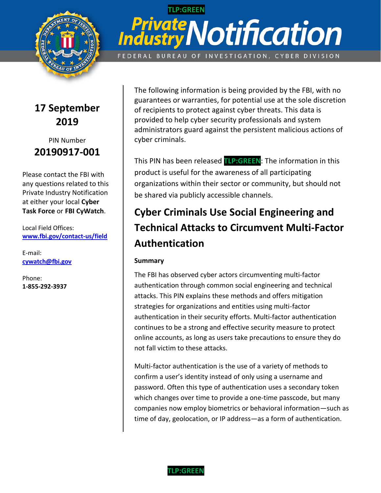

# **TLP:GREEN**  *PrivateN* **.,\_** *•fi* .,\_ • **Industry Notification** FEDERAL BUREAU OF INVESTIGATION, CYBER DIVISION

**17 September 2019** 

### PIN Number **20190917-001**

Please contact the FBI with any questions related to this Private Industry Notification at either your local **Cyber Task Force** or **FBI CyWatch**.

Local Field Offices: **[www.fbi.gov/contact-us/field](http://www.fbi.gov/contact-us/field)** 

E-mail: **[cywatch@fbi.gov](mailto:cywatch@fbi.gov)** 

Phone: **1-855-292-3937** 

The following information is being provided by the FBI, with no guarantees or warranties, for potential use at the sole discretion of recipients to protect against cyber threats. This data is provided to help cyber security professionals and system administrators guard against the persistent malicious actions of cyber criminals.

TLP:<br>raren This PIN has been released **TLP:GREEN**: The information in this product is useful for the awareness of all participating organizations within their sector or community, but should not be shared via publicly accessible channels.

# **Cyber Criminals Use Social Engineering and Technical Attacks to Circumvent Multi-Factor Authentication**

### **Summary**

The FBI has observed cyber actors circumventing multi-factor authentication through common social engineering and technical attacks. This PIN explains these methods and offers mitigation strategies for organizations and entities using multi-factor authentication in their security efforts. Multi-factor authentication continues to be a strong and effective security measure to protect online accounts, as long as users take precautions to ensure they do not fall victim to these attacks.

 confirm a user's identity instead of only using a username and Multi-factor authentication is the use of a variety of methods to password. Often this type of authentication uses a secondary token which changes over time to provide a one-time passcode, but many companies now employ biometrics or behavioral information—such as time of day, geolocation, or IP address—as a form of authentication.

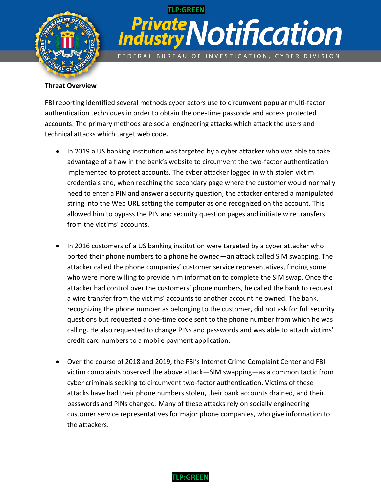

# *PrivateN* **.,\_** *•fi* .,\_ • **Industry Notification** FEDERAL BUREAU OF INVESTIGATION, CYBER DIVISION **TLP:GREEN**

#### **Threat Overview**

FBI reporting identified several methods cyber actors use to circumvent popular multi-factor authentication techniques in order to obtain the one-time passcode and access protected accounts. The primary methods are social engineering attacks which attack the users and technical attacks which target web code.

- advantage of a flaw in the bank's website to circumvent the two-factor authentication from the victims' accounts. • In 2019 a US banking institution was targeted by a cyber attacker who was able to take implemented to protect accounts. The cyber attacker logged in with stolen victim credentials and, when reaching the secondary page where the customer would normally need to enter a PIN and answer a security question, the attacker entered a manipulated string into the Web URL setting the computer as one recognized on the account. This allowed him to bypass the PIN and security question pages and initiate wire transfers
- a wire transfer from the victims' accounts to another account he owned. The bank, • In 2016 customers of a US banking institution were targeted by a cyber attacker who ported their phone numbers to a phone he owned—an attack called SIM swapping. The attacker called the phone companies' customer service representatives, finding some who were more willing to provide him information to complete the SIM swap. Once the attacker had control over the customers' phone numbers, he called the bank to request recognizing the phone number as belonging to the customer, did not ask for full security questions but requested a one-time code sent to the phone number from which he was calling. He also requested to change PINs and passwords and was able to attach victims' credit card numbers to a mobile payment application.
- Over the course of 2018 and 2019, the FBI's Internet Crime Complaint Center and FBI victim complaints observed the above attack—SIM swapping—as a common tactic from cyber criminals seeking to circumvent two-factor authentication. Victims of these attacks have had their phone numbers stolen, their bank accounts drained, and their passwords and PINs changed. Many of these attacks rely on socially engineering customer service representatives for major phone companies, who give information to the attackers.

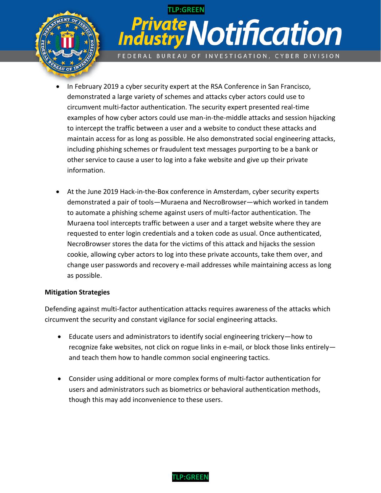

# *PrivateN* **.,\_** *•fi* .,\_ • **Industry Notification** FEDERAL BUREAU OF INVESTIGATION, CYBER DIVISION **TLP:GREEN**

- In February 2019 a cyber security expert at the RSA Conference in San Francisco, demonstrated a large variety of schemes and attacks cyber actors could use to circumvent multi-factor authentication. The security expert presented real-time examples of how cyber actors could use man-in-the-middle attacks and session hijacking to intercept the traffic between a user and a website to conduct these attacks and maintain access for as long as possible. He also demonstrated social engineering attacks, including phishing schemes or fraudulent text messages purporting to be a bank or other service to cause a user to log into a fake website and give up their private information.
- At the June 2019 Hack-in-the-Box conference in Amsterdam, cyber security experts demonstrated a pair of tools—Muraena and NecroBrowser—which worked in tandem to automate a phishing scheme against users of multi-factor authentication. The Muraena tool intercepts traffic between a user and a target website where they are requested to enter login credentials and a token code as usual. Once authenticated, NecroBrowser stores the data for the victims of this attack and hijacks the session cookie, allowing cyber actors to log into these private accounts, take them over, and change user passwords and recovery e-mail addresses while maintaining access as long as possible.

#### **Mitigation Strategies**

Defending against multi-factor authentication attacks requires awareness of the attacks which circumvent the security and constant vigilance for social engineering attacks.

- Educate users and administrators to identify social engineering trickery—how to recognize fake websites, not click on rogue links in e-mail, or block those links entirely and teach them how to handle common social engineering tactics.
- Consider using additional or more complex forms of multi-factor authentication for users and administrators such as biometrics or behavioral authentication methods, though this may add inconvenience to these users.